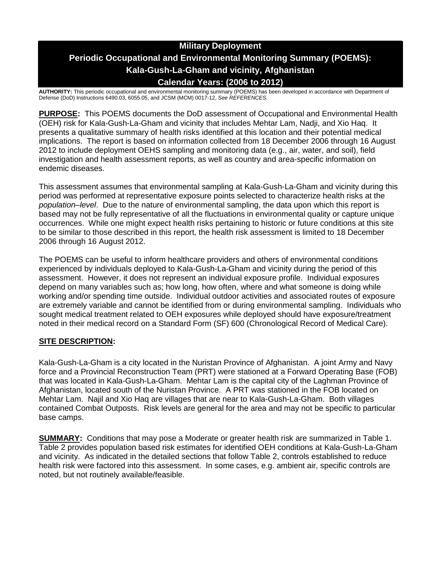# **Military Deployment Periodic Occupational and Environmental Monitoring Summary (POEMS): Kala-Gush-La-Gham and vicinity, Afghanistan Calendar Years: (2006 to 2012)**

**AUTHORITY:** This periodic occupational and environmental monitoring summary (POEMS) has been developed in accordance with Department of Defense (DoD) Instructions 6490.03, 6055.05, and JCSM (MCM) 0017-12, *See REFERENCES.*

**PURPOSE:** This POEMS documents the DoD assessment of Occupational and Environmental Health (OEH) risk for Kala-Gush-La-Gham and vicinity that includes Mehtar Lam, Nadji, and Xio Haq. It presents a qualitative summary of health risks identified at this location and their potential medical implications. The report is based on information collected from 18 December 2006 through 16 August 2012 to include deployment OEHS sampling and monitoring data (e.g., air, water, and soil), field investigation and health assessment reports, as well as country and area-specific information on endemic diseases.

This assessment assumes that environmental sampling at Kala-Gush-La-Gham and vicinity during this period was performed at representative exposure points selected to characterize health risks at the *population–level*. Due to the nature of environmental sampling, the data upon which this report is based may not be fully representative of all the fluctuations in environmental quality or capture unique occurrences. While one might expect health risks pertaining to historic or future conditions at this site to be similar to those described in this report, the health risk assessment is limited to 18 December 2006 through 16 August 2012.

The POEMS can be useful to inform healthcare providers and others of environmental conditions experienced by individuals deployed to Kala-Gush-La-Gham and vicinity during the period of this assessment. However, it does not represent an individual exposure profile. Individual exposures depend on many variables such as; how long, how often, where and what someone is doing while working and/or spending time outside. Individual outdoor activities and associated routes of exposure are extremely variable and cannot be identified from or during environmental sampling. Individuals who sought medical treatment related to OEH exposures while deployed should have exposure/treatment noted in their medical record on a Standard Form (SF) 600 (Chronological Record of Medical Care).

# **SITE DESCRIPTION:**

Kala-Gush-La-Gham is a city located in the Nuristan Province of Afghanistan. A joint Army and Navy force and a Provincial Reconstruction Team (PRT) were stationed at a Forward Operating Base (FOB) that was located in Kala-Gush-La-Gham. Mehtar Lam is the capital city of the Laghman Province of Afghanistan, located south of the Nuristan Province. A PRT was stationed in the FOB located on Mehtar Lam. Najil and Xio Haq are villages that are near to Kala-Gush-La-Gham. Both villages contained Combat Outposts. Risk levels are general for the area and may not be specific to particular base camps.

**SUMMARY:** Conditions that may pose a Moderate or greater health risk are summarized in Table 1. Table 2 provides population based risk estimates for identified OEH conditions at Kala-Gush-La-Gham and vicinity. As indicated in the detailed sections that follow Table 2, controls established to reduce health risk were factored into this assessment. In some cases, e.g. ambient air, specific controls are noted, but not routinely available/feasible.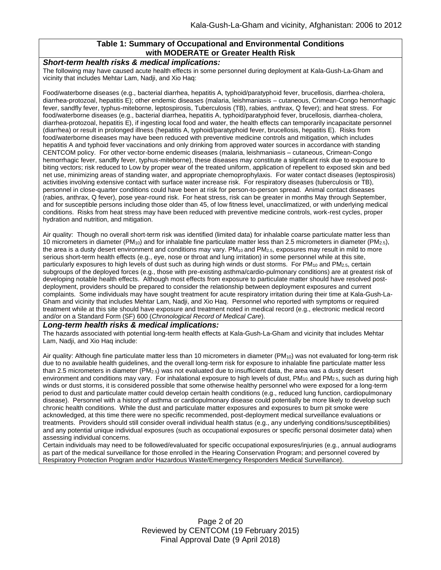#### **Table 1: Summary of Occupational and Environmental Conditions with MODERATE or Greater Health Risk**

#### *Short-term health risks & medical implications:*

The following may have caused acute health effects in some personnel during deployment at Kala-Gush-La-Gham and vicinity that includes Mehtar Lam, Nadji, and Xio Haq:

Food/waterborne diseases (e.g., bacterial diarrhea, hepatitis A, typhoid/paratyphoid fever, brucellosis, diarrhea-cholera, diarrhea-protozoal, hepatitis E); other endemic diseases (malaria, leishmaniasis – cutaneous, Crimean-Congo hemorrhagic fever, sandfly fever, typhus-miteborne, leptospirosis, Tuberculosis (TB), rabies, anthrax, Q fever); and heat stress. For food/waterborne diseases (e.g., bacterial diarrhea, hepatitis A, typhoid/paratyphoid fever, brucellosis, diarrhea-cholera, diarrhea-protozoal, hepatitis E), if ingesting local food and water, the health effects can temporarily incapacitate personnel (diarrhea) or result in prolonged illness (hepatitis A, typhoid/paratyphoid fever, brucellosis, hepatitis E). Risks from food/waterborne diseases may have been reduced with preventive medicine controls and mitigation, which includes hepatitis A and typhoid fever vaccinations and only drinking from approved water sources in accordance with standing CENTCOM policy. For other vector-borne endemic diseases (malaria, leishmaniasis – cutaneous, Crimean-Congo hemorrhagic fever, sandfly fever, typhus-miteborne), these diseases may constitute a significant risk due to exposure to biting vectors; risk reduced to Low by proper wear of the treated uniform, application of repellent to exposed skin and bed net use, minimizing areas of standing water, and appropriate chemoprophylaxis. For water contact diseases (leptospirosis) activities involving extensive contact with surface water increase risk. For respiratory diseases (tuberculosis or TB), personnel in close-quarter conditions could have been at risk for person-to-person spread. Animal contact diseases (rabies, anthrax, Q fever), pose year-round risk. For heat stress, risk can be greater in months May through September, and for susceptible persons including those older than 45, of low fitness level, unacclimatized, or with underlying medical conditions. Risks from heat stress may have been reduced with preventive medicine controls, work-rest cycles, proper hydration and nutrition, and mitigation.

Air quality: Though no overall short-term risk was identified (limited data) for inhalable coarse particulate matter less than 10 micrometers in diameter (PM<sub>10</sub>) and for inhalable fine particulate matter less than 2.5 micrometers in diameter (PM<sub>2.5</sub>), the area is a dusty desert environment and conditions may vary. PM<sub>10</sub> and PM<sub>2.5</sub>, exposures may result in mild to more serious short-term health effects (e.g., eye, nose or throat and lung irritation) in some personnel while at this site, particularly exposures to high levels of dust such as during high winds or dust storms. For PM<sub>10</sub> and PM<sub>2.5</sub>, certain subgroups of the deployed forces (e.g., those with pre-existing asthma/cardio-pulmonary conditions) are at greatest risk of developing notable health effects. Although most effects from exposure to particulate matter should have resolved postdeployment, providers should be prepared to consider the relationship between deployment exposures and current complaints. Some individuals may have sought treatment for acute respiratory irritation during their time at Kala-Gush-La-Gham and vicinity that includes Mehtar Lam, Nadji, and Xio Haq. Personnel who reported with symptoms or required treatment while at this site should have exposure and treatment noted in medical record (e.g., electronic medical record and/or on a Standard Form (SF) 600 (*Chronological Record of Medical Care*).

#### *Long-term health risks & medical implications:*

The hazards associated with potential long-term health effects at Kala-Gush-La-Gham and vicinity that includes Mehtar Lam, Nadji, and Xio Haq include:

Air quality: Although fine particulate matter less than 10 micrometers in diameter (PM<sub>10</sub>) was not evaluated for long-term risk due to no available health guidelines, and the overall long-term risk for exposure to inhalable fine particulate matter less than 2.5 micrometers in diameter (PM2.5) was not evaluated due to insufficient data, the area was a dusty desert environment and conditions may vary. For inhalational exposure to high levels of dust,  $PM_{10}$  and  $PM_{2.5}$ , such as during high winds or dust storms, it is considered possible that some otherwise healthy personnel who were exposed for a long-term period to dust and particulate matter could develop certain health conditions (e.g., reduced lung function, cardiopulmonary disease). Personnel with a history of asthma or cardiopulmonary disease could potentially be more likely to develop such chronic health conditions. While the dust and particulate matter exposures and exposures to burn pit smoke were acknowledged, at this time there were no specific recommended, post-deployment medical surveillance evaluations or treatments. Providers should still consider overall individual health status (e.g., any underlying conditions/susceptibilities) and any potential unique individual exposures (such as occupational exposures or specific personal dosimeter data) when assessing individual concerns.

Certain individuals may need to be followed/evaluated for specific occupational exposures/injuries (e.g., annual audiograms as part of the medical surveillance for those enrolled in the Hearing Conservation Program; and personnel covered by Respiratory Protection Program and/or Hazardous Waste/Emergency Responders Medical Surveillance).

> Page 2 of 20 Reviewed by CENTCOM (19 February 2015) Final Approval Date (9 April 2018)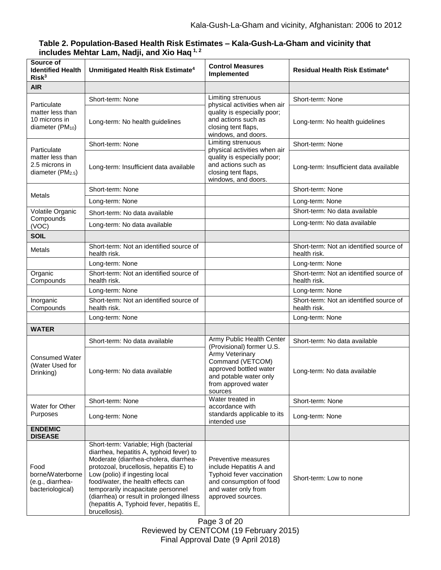| Source of<br><b>Identified Health</b><br>Risk <sup>3</sup>                         | Unmitigated Health Risk Estimate <sup>4</sup>                                                                                                                                                                                                                                                                                                                                                  | <b>Control Measures</b><br>Implemented                                                                                                                 | Residual Health Risk Estimate <sup>4</sup>              |
|------------------------------------------------------------------------------------|------------------------------------------------------------------------------------------------------------------------------------------------------------------------------------------------------------------------------------------------------------------------------------------------------------------------------------------------------------------------------------------------|--------------------------------------------------------------------------------------------------------------------------------------------------------|---------------------------------------------------------|
| <b>AIR</b>                                                                         |                                                                                                                                                                                                                                                                                                                                                                                                |                                                                                                                                                        |                                                         |
| Particulate<br>matter less than<br>10 microns in<br>diameter $(PM_{10})$           | Short-term: None                                                                                                                                                                                                                                                                                                                                                                               | Limiting strenuous<br>physical activities when air<br>quality is especially poor;<br>and actions such as<br>closing tent flaps,<br>windows, and doors. | Short-term: None                                        |
|                                                                                    | Long-term: No health guidelines                                                                                                                                                                                                                                                                                                                                                                |                                                                                                                                                        | Long-term: No health guidelines                         |
|                                                                                    | Short-term: None                                                                                                                                                                                                                                                                                                                                                                               | Limiting strenuous                                                                                                                                     | Short-term: None                                        |
| Particulate<br>matter less than<br>2.5 microns in<br>diameter (PM <sub>2.5</sub> ) | Long-term: Insufficient data available                                                                                                                                                                                                                                                                                                                                                         | physical activities when air<br>quality is especially poor;<br>and actions such as<br>closing tent flaps,<br>windows, and doors.                       | Long-term: Insufficient data available                  |
|                                                                                    | Short-term: None                                                                                                                                                                                                                                                                                                                                                                               |                                                                                                                                                        | Short-term: None                                        |
| Metals                                                                             | Long-term: None                                                                                                                                                                                                                                                                                                                                                                                |                                                                                                                                                        | Long-term: None                                         |
| Volatile Organic                                                                   | Short-term: No data available                                                                                                                                                                                                                                                                                                                                                                  |                                                                                                                                                        | Short-term: No data available                           |
| Compounds<br>(VOC)                                                                 | Long-term: No data available                                                                                                                                                                                                                                                                                                                                                                   |                                                                                                                                                        | Long-term: No data available                            |
| <b>SOIL</b>                                                                        |                                                                                                                                                                                                                                                                                                                                                                                                |                                                                                                                                                        |                                                         |
| Metals                                                                             | Short-term: Not an identified source of<br>health risk.                                                                                                                                                                                                                                                                                                                                        |                                                                                                                                                        | Short-term: Not an identified source of<br>health risk. |
|                                                                                    | Long-term: None                                                                                                                                                                                                                                                                                                                                                                                |                                                                                                                                                        | Long-term: None                                         |
| Organic<br>Compounds                                                               | Short-term: Not an identified source of<br>health risk.                                                                                                                                                                                                                                                                                                                                        |                                                                                                                                                        | Short-term: Not an identified source of<br>health risk. |
|                                                                                    | Long-term: None                                                                                                                                                                                                                                                                                                                                                                                |                                                                                                                                                        | Long-term: None                                         |
| Inorganic<br>Compounds                                                             | Short-term: Not an identified source of<br>health risk.                                                                                                                                                                                                                                                                                                                                        |                                                                                                                                                        | Short-term: Not an identified source of<br>health risk. |
|                                                                                    | Long-term: None                                                                                                                                                                                                                                                                                                                                                                                |                                                                                                                                                        | Long-term: None                                         |
| <b>WATER</b>                                                                       |                                                                                                                                                                                                                                                                                                                                                                                                |                                                                                                                                                        |                                                         |
|                                                                                    | Short-term: No data available                                                                                                                                                                                                                                                                                                                                                                  | Army Public Health Center<br>(Provisional) former U.S.                                                                                                 | Short-term: No data available                           |
| <b>Consumed Water</b><br>(Water Used for<br>Drinking)                              | Long-term: No data available                                                                                                                                                                                                                                                                                                                                                                   | Army Veterinary<br>Command (VETCOM)<br>approved bottled water<br>and potable water only<br>from approved water<br>sources                              | Long-term: No data available                            |
| Water for Other<br>Purposes                                                        | Short-term: None                                                                                                                                                                                                                                                                                                                                                                               | Water treated in<br>accordance with<br>standards applicable to its<br>intended use                                                                     | Short-term: None                                        |
|                                                                                    | Long-term: None                                                                                                                                                                                                                                                                                                                                                                                |                                                                                                                                                        | Long-term: None                                         |
| <b>ENDEMIC</b><br><b>DISEASE</b>                                                   |                                                                                                                                                                                                                                                                                                                                                                                                |                                                                                                                                                        |                                                         |
| Food<br>borne/Waterborne<br>(e.g., diarrhea-<br>bacteriological)                   | Short-term: Variable; High (bacterial<br>diarrhea, hepatitis A, typhoid fever) to<br>Moderate (diarrhea-cholera, diarrhea-<br>protozoal, brucellosis, hepatitis E) to<br>Low (polio) if ingesting local<br>food/water, the health effects can<br>temporarily incapacitate personnel<br>(diarrhea) or result in prolonged illness<br>(hepatitis A, Typhoid fever, hepatitis E,<br>brucellosis). | Preventive measures<br>include Hepatitis A and<br>Typhoid fever vaccination<br>and consumption of food<br>and water only from<br>approved sources.     | Short-term: Low to none                                 |

# **Table 2. Population-Based Health Risk Estimates – Kala-Gush-La-Gham and vicinity that includes Mehtar Lam, Nadji, and Xio Haq 1, 2**

Page 3 of 20 Reviewed by CENTCOM (19 February 2015) Final Approval Date (9 April 2018)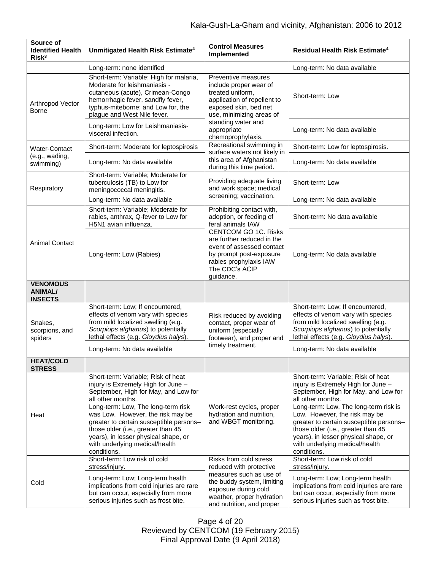| Source of<br><b>Identified Health</b><br>Risk <sup>3</sup> | Unmitigated Health Risk Estimate <sup>4</sup>                                                                                                                                                                                                     | <b>Control Measures</b><br>Implemented                                                                                                                                                                                                                  | Residual Health Risk Estimate <sup>4</sup>                                                                                                                                                                                                       |
|------------------------------------------------------------|---------------------------------------------------------------------------------------------------------------------------------------------------------------------------------------------------------------------------------------------------|---------------------------------------------------------------------------------------------------------------------------------------------------------------------------------------------------------------------------------------------------------|--------------------------------------------------------------------------------------------------------------------------------------------------------------------------------------------------------------------------------------------------|
|                                                            | Long-term: none identified                                                                                                                                                                                                                        |                                                                                                                                                                                                                                                         | Long-term: No data available                                                                                                                                                                                                                     |
| Arthropod Vector<br><b>Borne</b>                           | Short-term: Variable; High for malaria,<br>Moderate for leishmaniasis -<br>cutaneous (acute), Crimean-Congo<br>hemorrhagic fever, sandfly fever,<br>typhus-miteborne; and Low for, the<br>plague and West Nile fever.                             | Preventive measures<br>include proper wear of<br>treated uniform,<br>application of repellent to<br>exposed skin, bed net<br>use, minimizing areas of<br>standing water and<br>appropriate<br>chemoprophylaxis.                                         | Short-term: Low                                                                                                                                                                                                                                  |
|                                                            | Long-term: Low for Leishmaniasis-<br>visceral infection.                                                                                                                                                                                          |                                                                                                                                                                                                                                                         | Long-term: No data available                                                                                                                                                                                                                     |
| <b>Water-Contact</b>                                       | Short-term: Moderate for leptospirosis                                                                                                                                                                                                            | Recreational swimming in<br>surface waters not likely in                                                                                                                                                                                                | Short-term: Low for leptospirosis.                                                                                                                                                                                                               |
| (e.g., wading,<br>swimming)                                | Long-term: No data available                                                                                                                                                                                                                      | this area of Afghanistan<br>during this time period.                                                                                                                                                                                                    | Long-term: No data available                                                                                                                                                                                                                     |
| Respiratory                                                | Short-term: Variable; Moderate for<br>tuberculosis (TB) to Low for<br>meningococcal meningitis.                                                                                                                                                   | Providing adequate living<br>and work space; medical                                                                                                                                                                                                    | Short-term: Low                                                                                                                                                                                                                                  |
|                                                            | Long-term: No data available                                                                                                                                                                                                                      | screening; vaccination.                                                                                                                                                                                                                                 | Long-term: No data available                                                                                                                                                                                                                     |
| <b>Animal Contact</b>                                      | Short-term: Variable; Moderate for<br>rabies, anthrax, Q-fever to Low for<br>H5N1 avian influenza.                                                                                                                                                | Prohibiting contact with,<br>adoption, or feeding of<br>feral animals IAW<br><b>CENTCOM GO 1C. Risks</b><br>are further reduced in the<br>event of assessed contact<br>by prompt post-exposure<br>rabies prophylaxis IAW<br>The CDC's ACIP<br>guidance. | Short-term: No data available                                                                                                                                                                                                                    |
|                                                            | Long-term: Low (Rabies)                                                                                                                                                                                                                           |                                                                                                                                                                                                                                                         | Long-term: No data available                                                                                                                                                                                                                     |
| <b>VENOMOUS</b><br><b>ANIMAL/</b><br><b>INSECTS</b>        |                                                                                                                                                                                                                                                   |                                                                                                                                                                                                                                                         |                                                                                                                                                                                                                                                  |
| Snakes,<br>scorpions, and<br>spiders                       | Short-term: Low; If encountered,<br>effects of venom vary with species<br>from mild localized swelling (e.g.<br>Scorpiops afghanus) to potentially<br>lethal effects (e.g. Gloydius halys).                                                       | Risk reduced by avoiding<br>contact, proper wear of<br>uniform (especially<br>footwear), and proper and<br>timely treatment.                                                                                                                            | Short-term: Low; If encountered,<br>effects of venom vary with species<br>from mild localized swelling (e.g.<br>Scorpiops afghanus) to potentially<br>lethal effects (e.g. Gloydius halys).                                                      |
|                                                            | Long-term: No data available                                                                                                                                                                                                                      |                                                                                                                                                                                                                                                         | Long-term: No data available                                                                                                                                                                                                                     |
| HFAT/COLD<br><b>STRESS</b>                                 |                                                                                                                                                                                                                                                   |                                                                                                                                                                                                                                                         |                                                                                                                                                                                                                                                  |
| Heat                                                       | Short-term: Variable; Risk of heat<br>injury is Extremely High for June -<br>September, High for May, and Low for<br>all other months.                                                                                                            | Work-rest cycles, proper<br>hydration and nutrition,<br>and WBGT monitoring.                                                                                                                                                                            | Short-term: Variable; Risk of heat<br>injury is Extremely High for June -<br>September, High for May, and Low for<br>all other months.                                                                                                           |
|                                                            | Long-term: Low, The long-term risk<br>was Low. However, the risk may be<br>greater to certain susceptible persons-<br>those older (i.e., greater than 45<br>years), in lesser physical shape, or<br>with underlying medical/health<br>conditions. |                                                                                                                                                                                                                                                         | Long-term: Low, The long-term risk is<br>Low. However, the risk may be<br>greater to certain susceptible persons-<br>those older (i.e., greater than 45<br>years), in lesser physical shape, or<br>with underlying medical/health<br>conditions. |
|                                                            | Short-term: Low risk of cold<br>stress/injury.                                                                                                                                                                                                    | Risks from cold stress<br>reduced with protective                                                                                                                                                                                                       | Short-term: Low risk of cold<br>stress/injury.                                                                                                                                                                                                   |
| Cold                                                       | Long-term: Low; Long-term health<br>implications from cold injuries are rare<br>but can occur, especially from more<br>serious injuries such as frost bite.                                                                                       | measures such as use of<br>the buddy system, limiting<br>exposure during cold<br>weather, proper hydration<br>and nutrition, and proper                                                                                                                 | Long-term: Low; Long-term health<br>implications from cold injuries are rare<br>but can occur, especially from more<br>serious injuries such as frost bite.                                                                                      |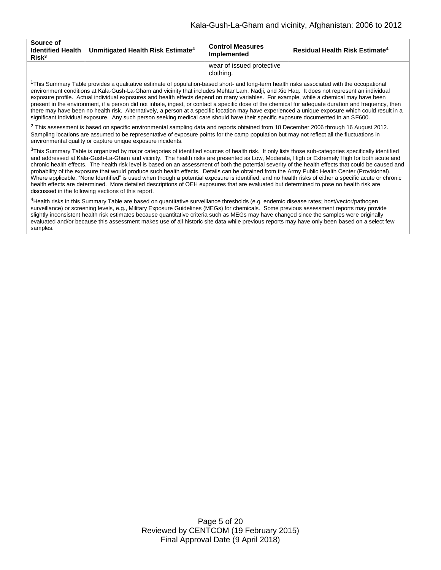| Source of<br><b>Identified Health</b><br>Risk <sup>3</sup> | Unmitigated Health Risk Estimate <sup>4</sup> | <b>Control Measures</b><br>Implemented | Residual Health Risk Estimate <sup>4</sup> |
|------------------------------------------------------------|-----------------------------------------------|----------------------------------------|--------------------------------------------|
|                                                            |                                               | wear of issued protective<br>clothing. |                                            |

<sup>1</sup>This Summary Table provides a qualitative estimate of population-based short- and long-term health risks associated with the occupational environment conditions at Kala-Gush-La-Gham and vicinity that includes Mehtar Lam, Nadji, and Xio Haq. It does not represent an individual exposure profile. Actual individual exposures and health effects depend on many variables. For example, while a chemical may have been present in the environment, if a person did not inhale, ingest, or contact a specific dose of the chemical for adequate duration and frequency, then there may have been no health risk. Alternatively, a person at a specific location may have experienced a unique exposure which could result in a significant individual exposure. Any such person seeking medical care should have their specific exposure documented in an SF600.

 $2$  This assessment is based on specific environmental sampling data and reports obtained from 18 December 2006 through 16 August 2012. Sampling locations are assumed to be representative of exposure points for the camp population but may not reflect all the fluctuations in environmental quality or capture unique exposure incidents.

 $3$ This Summary Table is organized by major categories of identified sources of health risk. It only lists those sub-categories specifically identified and addressed at Kala-Gush-La-Gham and vicinity. The health risks are presented as Low, Moderate, High or Extremely High for both acute and chronic health effects. The health risk level is based on an assessment of both the potential severity of the health effects that could be caused and probability of the exposure that would produce such health effects. Details can be obtained from the Army Public Health Center (Provisional). Where applicable, "None Identified" is used when though a potential exposure is identified, and no health risks of either a specific acute or chronic health effects are determined. More detailed descriptions of OEH exposures that are evaluated but determined to pose no health risk are discussed in the following sections of this report.

4Health risks in this Summary Table are based on quantitative surveillance thresholds (e.g. endemic disease rates; host/vector/pathogen surveillance) or screening levels, e.g., Military Exposure Guidelines (MEGs) for chemicals*.* Some previous assessment reports may provide slightly inconsistent health risk estimates because quantitative criteria such as MEGs may have changed since the samples were originally evaluated and/or because this assessment makes use of all historic site data while previous reports may have only been based on a select few samples.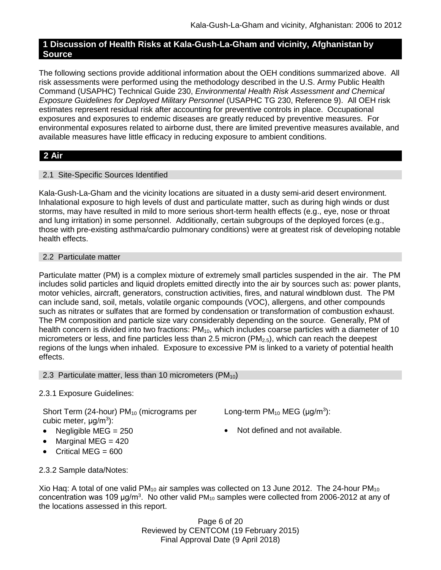# **1 Discussion of Health Risks at Kala-Gush-La-Gham and vicinity, Afghanistan by Source**

The following sections provide additional information about the OEH conditions summarized above. All risk assessments were performed using the methodology described in the U.S. Army Public Health Command (USAPHC) Technical Guide 230, *Environmental Health Risk Assessment and Chemical Exposure Guidelines for Deployed Military Personnel* (USAPHC TG 230, Reference 9). All OEH risk estimates represent residual risk after accounting for preventive controls in place. Occupational exposures and exposures to endemic diseases are greatly reduced by preventive measures. For environmental exposures related to airborne dust, there are limited preventive measures available, and available measures have little efficacy in reducing exposure to ambient conditions.

# **2 Air**

# 2.1 Site-Specific Sources Identified

Kala-Gush-La-Gham and the vicinity locations are situated in a dusty semi-arid desert environment. Inhalational exposure to high levels of dust and particulate matter, such as during high winds or dust storms, may have resulted in mild to more serious short-term health effects (e.g., eye, nose or throat and lung irritation) in some personnel. Additionally, certain subgroups of the deployed forces (e.g., those with pre-existing asthma/cardio pulmonary conditions) were at greatest risk of developing notable health effects.

# 2.2 Particulate matter

Particulate matter (PM) is a complex mixture of extremely small particles suspended in the air. The PM includes solid particles and liquid droplets emitted directly into the air by sources such as: power plants, motor vehicles, aircraft, generators, construction activities, fires, and natural windblown dust. The PM can include sand, soil, metals, volatile organic compounds (VOC), allergens, and other compounds such as nitrates or sulfates that are formed by condensation or transformation of combustion exhaust. The PM composition and particle size vary considerably depending on the source. Generally, PM of health concern is divided into two fractions:  $PM_{10}$ , which includes coarse particles with a diameter of 10 micrometers or less, and fine particles less than 2.5 micron  $(PM_{2.5})$ , which can reach the deepest regions of the lungs when inhaled. Exposure to excessive PM is linked to a variety of potential health effects.

# 2.3 Particulate matter, less than 10 micrometers  $(PM_{10})$

# 2.3.1 Exposure Guidelines:

Short Term (24-hour)  $PM_{10}$  (micrograms per cubic meter, μg/m<sup>3</sup>):

- 
- $\bullet$  Marginal MEG = 420
- $\bullet$  Critical MEG = 600

2.3.2 Sample data/Notes:

Long-term  $PM_{10}$  MEG ( $\mu$ g/m<sup>3</sup>):

• Negligible MEG =  $250$   $\bullet$  Not defined and not available.

Xio Haq: A total of one valid PM<sub>10</sub> air samples was collected on 13 June 2012. The 24-hour PM<sub>10</sub> concentration was 109  $\mu$ g/m<sup>3</sup>. No other valid PM<sub>10</sub> samples were collected from 2006-2012 at any of the locations assessed in this report.

> Page 6 of 20 Reviewed by CENTCOM (19 February 2015) Final Approval Date (9 April 2018)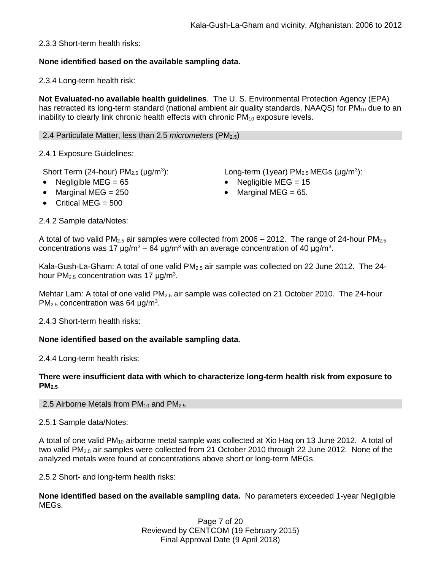2.3.3 Short-term health risks:

# **None identified based on the available sampling data.**

2.3.4 Long-term health risk:

**Not Evaluated-no available health guidelines**. The U. S. Environmental Protection Agency (EPA) has retracted its long-term standard (national ambient air quality standards, NAAQS) for  $PM_{10}$  due to an inability to clearly link chronic health effects with chronic  $PM_{10}$  exposure levels.

2.4 Particulate Matter, less than 2.5 *micrometers* (PM2.5)

2.4.1 Exposure Guidelines:

Short Term (24-hour)  $PM<sub>2.5</sub>$  ( $\mu$ g/m<sup>3</sup>):

- 
- Marginal MEG =  $250$   $\bullet$  Marginal MEG =  $65$ .
- $\bullet$  Critical MEG = 500

2.4.2 Sample data/Notes:

):  $Long-term (1year) PM<sub>2.5</sub> MEGs (µg/m<sup>3</sup>):$ 

- Negligible MEG = 65 Negligible MEG = 15
	-

A total of two valid PM<sub>2.5</sub> air samples were collected from  $2006 - 2012$ . The range of 24-hour PM<sub>2.5</sub> concentrations was 17 μg/m<sup>3</sup> – 64 μg/m<sup>3</sup> with an average concentration of 40 μg/m<sup>3</sup>.

Kala-Gush-La-Gham: A total of one valid  $PM_{2.5}$  air sample was collected on 22 June 2012. The 24hour  $PM<sub>2.5</sub>$  concentration was 17  $\mu$ g/m<sup>3</sup>.

Mehtar Lam: A total of one valid  $PM<sub>2.5</sub>$  air sample was collected on 21 October 2010. The 24-hour PM<sub>2.5</sub> concentration was 64  $\mu$ g/m<sup>3</sup>.

2.4.3 Short-term health risks:

# **None identified based on the available sampling data.**

2.4.4 Long-term health risks:

#### **There were insufficient data with which to characterize long-term health risk from exposure to PM2.5**.

2.5 Airborne Metals from  $PM_{10}$  and  $PM_{2.5}$ 

2.5.1 Sample data/Notes:

A total of one valid PM<sub>10</sub> airborne metal sample was collected at Xio Haq on 13 June 2012. A total of two valid PM<sub>2.5</sub> air samples were collected from 21 October 2010 through 22 June 2012. None of the analyzed metals were found at concentrations above short or long-term MEGs.

2.5.2 Short- and long-term health risks:

**None identified based on the available sampling data.** No parameters exceeded 1-year Negligible MEGs.

> Page 7 of 20 Reviewed by CENTCOM (19 February 2015) Final Approval Date (9 April 2018)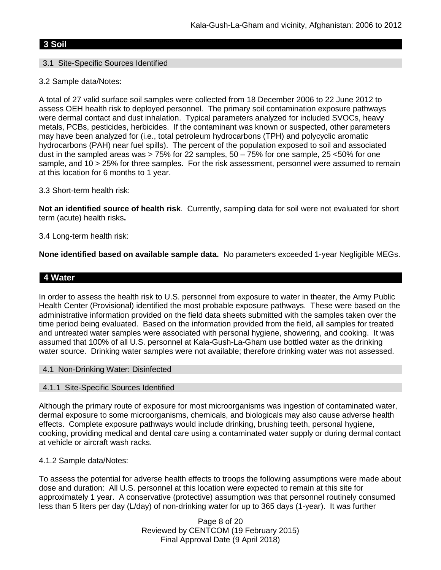# **3 Soil**

# 3.1 Site-Specific Sources Identified

# 3.2 Sample data/Notes:

A total of 27 valid surface soil samples were collected from 18 December 2006 to 22 June 2012 to assess OEH health risk to deployed personnel. The primary soil contamination exposure pathways were dermal contact and dust inhalation. Typical parameters analyzed for included SVOCs, heavy metals, PCBs, pesticides, herbicides. If the contaminant was known or suspected, other parameters may have been analyzed for (i.e., total petroleum hydrocarbons (TPH) and polycyclic aromatic hydrocarbons (PAH) near fuel spills). The percent of the population exposed to soil and associated dust in the sampled areas was  $> 75\%$  for 22 samples,  $50 - 75\%$  for one sample, 25 <50% for one sample, and 10 > 25% for three samples. For the risk assessment, personnel were assumed to remain at this location for 6 months to 1 year.

# 3.3 Short-term health risk:

**Not an identified source of health risk**. Currently, sampling data for soil were not evaluated for short term (acute) health risks**.**

# 3.4 Long-term health risk:

**None identified based on available sample data.** No parameters exceeded 1-year Negligible MEGs.

# **4 Water**

In order to assess the health risk to U.S. personnel from exposure to water in theater, the Army Public Health Center (Provisional) identified the most probable exposure pathways. These were based on the administrative information provided on the field data sheets submitted with the samples taken over the time period being evaluated. Based on the information provided from the field, all samples for treated and untreated water samples were associated with personal hygiene, showering, and cooking. It was assumed that 100% of all U.S. personnel at Kala-Gush-La-Gham use bottled water as the drinking water source. Drinking water samples were not available; therefore drinking water was not assessed.

#### 4.1 Non-Drinking Water: Disinfected

# 4.1.1 Site-Specific Sources Identified

Although the primary route of exposure for most microorganisms was ingestion of contaminated water, dermal exposure to some microorganisms, chemicals, and biologicals may also cause adverse health effects. Complete exposure pathways would include drinking, brushing teeth, personal hygiene, cooking, providing medical and dental care using a contaminated water supply or during dermal contact at vehicle or aircraft wash racks.

#### 4.1.2 Sample data/Notes:

To assess the potential for adverse health effects to troops the following assumptions were made about dose and duration: All U.S. personnel at this location were expected to remain at this site for approximately 1 year. A conservative (protective) assumption was that personnel routinely consumed less than 5 liters per day (L/day) of non-drinking water for up to 365 days (1-year). It was further

> Page 8 of 20 Reviewed by CENTCOM (19 February 2015) Final Approval Date (9 April 2018)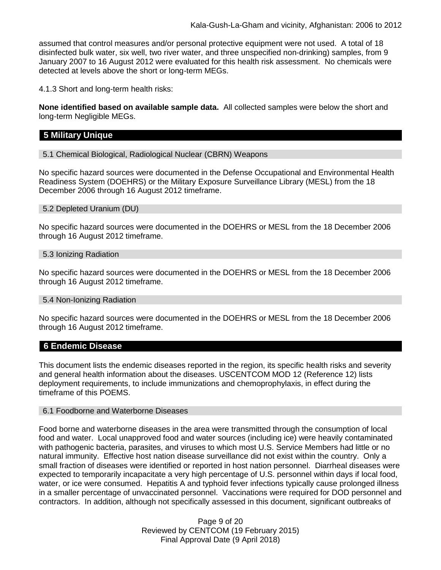assumed that control measures and/or personal protective equipment were not used. A total of 18 disinfected bulk water, six well, two river water, and three unspecified non-drinking) samples, from 9 January 2007 to 16 August 2012 were evaluated for this health risk assessment. No chemicals were detected at levels above the short or long-term MEGs.

4.1.3 Short and long-term health risks:

**None identified based on available sample data.** All collected samples were below the short and long-term Negligible MEGs.

# **5 Military Unique**

5.1 Chemical Biological, Radiological Nuclear (CBRN) Weapons

No specific hazard sources were documented in the Defense Occupational and Environmental Health Readiness System (DOEHRS) or the Military Exposure Surveillance Library (MESL) from the 18 December 2006 through 16 August 2012 timeframe.

5.2 Depleted Uranium (DU)

No specific hazard sources were documented in the DOEHRS or MESL from the 18 December 2006 through 16 August 2012 timeframe.

#### 5.3 Ionizing Radiation

No specific hazard sources were documented in the DOEHRS or MESL from the 18 December 2006 through 16 August 2012 timeframe.

#### 5.4 Non-Ionizing Radiation

No specific hazard sources were documented in the DOEHRS or MESL from the 18 December 2006 through 16 August 2012 timeframe.

# **6 Endemic Disease**

This document lists the endemic diseases reported in the region, its specific health risks and severity and general health information about the diseases. USCENTCOM MOD 12 (Reference 12) lists deployment requirements, to include immunizations and chemoprophylaxis, in effect during the timeframe of this POEMS.

#### 6.1 Foodborne and Waterborne Diseases

Food borne and waterborne diseases in the area were transmitted through the consumption of local food and water. Local unapproved food and water sources (including ice) were heavily contaminated with pathogenic bacteria, parasites, and viruses to which most U.S. Service Members had little or no natural immunity. Effective host nation disease surveillance did not exist within the country. Only a small fraction of diseases were identified or reported in host nation personnel. Diarrheal diseases were expected to temporarily incapacitate a very high percentage of U.S. personnel within days if local food, water, or ice were consumed. Hepatitis A and typhoid fever infections typically cause prolonged illness in a smaller percentage of unvaccinated personnel. Vaccinations were required for DOD personnel and contractors. In addition, although not specifically assessed in this document, significant outbreaks of

> Page 9 of 20 Reviewed by CENTCOM (19 February 2015) Final Approval Date (9 April 2018)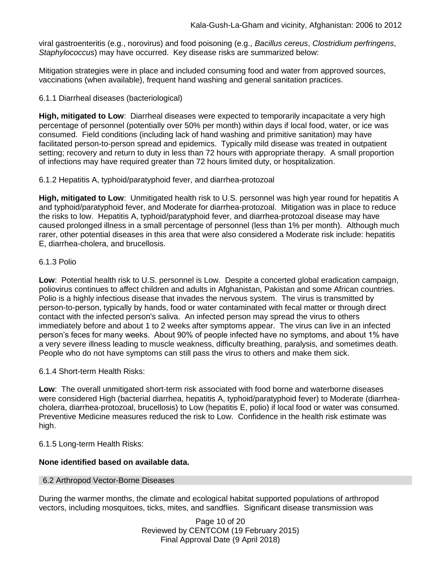viral gastroenteritis (e.g., norovirus) and food poisoning (e.g., *Bacillus cereus*, *Clostridium perfringens*, *Staphylococcus*) may have occurred. Key disease risks are summarized below:

Mitigation strategies were in place and included consuming food and water from approved sources, vaccinations (when available), frequent hand washing and general sanitation practices.

## 6.1.1 Diarrheal diseases (bacteriological)

**High, mitigated to Low**: Diarrheal diseases were expected to temporarily incapacitate a very high percentage of personnel (potentially over 50% per month) within days if local food, water, or ice was consumed. Field conditions (including lack of hand washing and primitive sanitation) may have facilitated person-to-person spread and epidemics. Typically mild disease was treated in outpatient setting; recovery and return to duty in less than 72 hours with appropriate therapy. A small proportion of infections may have required greater than 72 hours limited duty, or hospitalization.

6.1.2 Hepatitis A, typhoid/paratyphoid fever, and diarrhea-protozoal

**High, mitigated to Low**: Unmitigated health risk to U.S. personnel was high year round for hepatitis A and typhoid/paratyphoid fever, and Moderate for diarrhea-protozoal. Mitigation was in place to reduce the risks to low. Hepatitis A, typhoid/paratyphoid fever, and diarrhea-protozoal disease may have caused prolonged illness in a small percentage of personnel (less than 1% per month). Although much rarer, other potential diseases in this area that were also considered a Moderate risk include: hepatitis E, diarrhea-cholera, and brucellosis.

#### 6.1.3 Polio

**Low**: Potential health risk to U.S. personnel is Low. Despite a concerted global eradication campaign, poliovirus continues to affect children and adults in Afghanistan, Pakistan and some African countries. Polio is a highly infectious disease that invades the nervous system. The virus is transmitted by person-to-person, typically by hands, food or water contaminated with fecal matter or through direct contact with the infected person's saliva. An infected person may spread the virus to others immediately before and about 1 to 2 weeks after symptoms appear. The virus can live in an infected person's feces for many weeks. About 90% of people infected have no symptoms, and about 1% have a very severe illness leading to muscle weakness, difficulty breathing, paralysis, and sometimes death. People who do not have symptoms can still pass the virus to others and make them sick.

6.1.4 Short-term Health Risks:

**Low**: The overall unmitigated short-term risk associated with food borne and waterborne diseases were considered High (bacterial diarrhea, hepatitis A, typhoid/paratyphoid fever) to Moderate (diarrheacholera, diarrhea-protozoal, brucellosis) to Low (hepatitis E, polio) if local food or water was consumed. Preventive Medicine measures reduced the risk to Low. Confidence in the health risk estimate was high.

6.1.5 Long-term Health Risks:

# **None identified based on available data.**

#### 6.2 Arthropod Vector-Borne Diseases

During the warmer months, the climate and ecological habitat supported populations of arthropod vectors, including mosquitoes, ticks, mites, and sandflies. Significant disease transmission was

> Page 10 of 20 Reviewed by CENTCOM (19 February 2015) Final Approval Date (9 April 2018)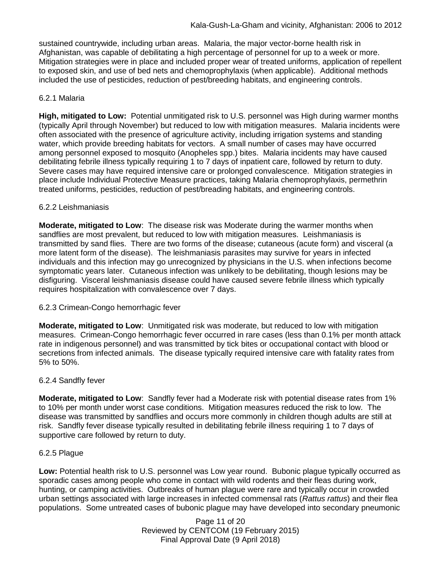sustained countrywide, including urban areas. Malaria, the major vector-borne health risk in Afghanistan, was capable of debilitating a high percentage of personnel for up to a week or more. Mitigation strategies were in place and included proper wear of treated uniforms, application of repellent to exposed skin, and use of bed nets and chemoprophylaxis (when applicable). Additional methods included the use of pesticides, reduction of pest/breeding habitats, and engineering controls.

## 6.2.1 Malaria

**High, mitigated to Low:** Potential unmitigated risk to U.S. personnel was High during warmer months (typically April through November) but reduced to low with mitigation measures. Malaria incidents were often associated with the presence of agriculture activity, including irrigation systems and standing water, which provide breeding habitats for vectors. A small number of cases may have occurred among personnel exposed to mosquito (Anopheles spp.) bites. Malaria incidents may have caused debilitating febrile illness typically requiring 1 to 7 days of inpatient care, followed by return to duty. Severe cases may have required intensive care or prolonged convalescence. Mitigation strategies in place include Individual Protective Measure practices, taking Malaria chemoprophylaxis, permethrin treated uniforms, pesticides, reduction of pest/breading habitats, and engineering controls.

#### 6.2.2 Leishmaniasis

**Moderate, mitigated to Low**: The disease risk was Moderate during the warmer months when sandflies are most prevalent, but reduced to low with mitigation measures. Leishmaniasis is transmitted by sand flies. There are two forms of the disease; cutaneous (acute form) and visceral (a more latent form of the disease). The leishmaniasis parasites may survive for years in infected individuals and this infection may go unrecognized by physicians in the U.S. when infections become symptomatic years later. Cutaneous infection was unlikely to be debilitating, though lesions may be disfiguring. Visceral leishmaniasis disease could have caused severe febrile illness which typically requires hospitalization with convalescence over 7 days.

#### 6.2.3 Crimean-Congo hemorrhagic fever

**Moderate, mitigated to Low**: Unmitigated risk was moderate, but reduced to low with mitigation measures. Crimean-Congo hemorrhagic fever occurred in rare cases (less than 0.1% per month attack rate in indigenous personnel) and was transmitted by tick bites or occupational contact with blood or secretions from infected animals. The disease typically required intensive care with fatality rates from 5% to 50%.

#### 6.2.4 Sandfly fever

**Moderate, mitigated to Low**: Sandfly fever had a Moderate risk with potential disease rates from 1% to 10% per month under worst case conditions. Mitigation measures reduced the risk to low. The disease was transmitted by sandflies and occurs more commonly in children though adults are still at risk. Sandfly fever disease typically resulted in debilitating febrile illness requiring 1 to 7 days of supportive care followed by return to duty.

#### 6.2.5 Plague

**Low:** Potential health risk to U.S. personnel was Low year round. Bubonic plague typically occurred as sporadic cases among people who come in contact with wild rodents and their fleas during work, hunting, or camping activities. Outbreaks of human plague were rare and typically occur in crowded urban settings associated with large increases in infected commensal rats (*Rattus rattus*) and their flea populations. Some untreated cases of bubonic plague may have developed into secondary pneumonic

> Page 11 of 20 Reviewed by CENTCOM (19 February 2015) Final Approval Date (9 April 2018)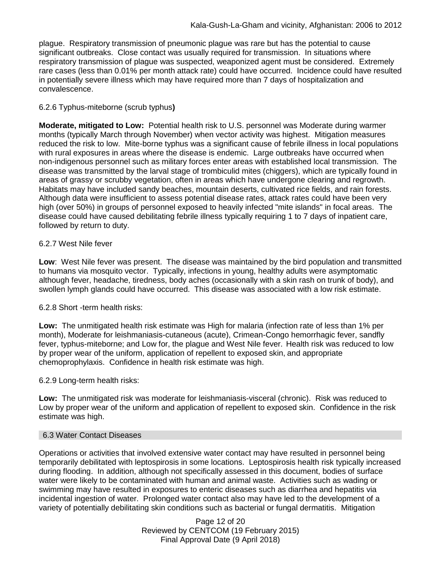plague. Respiratory transmission of pneumonic plague was rare but has the potential to cause significant outbreaks. Close contact was usually required for transmission. In situations where respiratory transmission of plague was suspected, weaponized agent must be considered. Extremely rare cases (less than 0.01% per month attack rate) could have occurred. Incidence could have resulted in potentially severe illness which may have required more than 7 days of hospitalization and convalescence.

# 6.2.6 Typhus-miteborne (scrub typhus**)**

**Moderate, mitigated to Low:** Potential health risk to U.S. personnel was Moderate during warmer months (typically March through November) when vector activity was highest. Mitigation measures reduced the risk to low. Mite-borne typhus was a significant cause of febrile illness in local populations with rural exposures in areas where the disease is endemic. Large outbreaks have occurred when non-indigenous personnel such as military forces enter areas with established local transmission. The disease was transmitted by the larval stage of trombiculid mites (chiggers), which are typically found in areas of grassy or scrubby vegetation, often in areas which have undergone clearing and regrowth. Habitats may have included sandy beaches, mountain deserts, cultivated rice fields, and rain forests. Although data were insufficient to assess potential disease rates, attack rates could have been very high (over 50%) in groups of personnel exposed to heavily infected "mite islands" in focal areas. The disease could have caused debilitating febrile illness typically requiring 1 to 7 days of inpatient care, followed by return to duty.

# 6.2.7 West Nile fever

**Low**: West Nile fever was present. The disease was maintained by the bird population and transmitted to humans via mosquito vector. Typically, infections in young, healthy adults were asymptomatic although fever, headache, tiredness, body aches (occasionally with a skin rash on trunk of body), and swollen lymph glands could have occurred. This disease was associated with a low risk estimate.

# 6.2.8 Short -term health risks:

**Low:** The unmitigated health risk estimate was High for malaria (infection rate of less than 1% per month), Moderate for leishmaniasis-cutaneous (acute), Crimean-Congo hemorrhagic fever, sandfly fever, typhus-miteborne; and Low for, the plague and West Nile fever. Health risk was reduced to low by proper wear of the uniform, application of repellent to exposed skin, and appropriate chemoprophylaxis. Confidence in health risk estimate was high.

# 6.2.9 Long-term health risks:

**Low:** The unmitigated risk was moderate for leishmaniasis-visceral (chronic). Risk was reduced to Low by proper wear of the uniform and application of repellent to exposed skin. Confidence in the risk estimate was high.

# 6.3 Water Contact Diseases

Operations or activities that involved extensive water contact may have resulted in personnel being temporarily debilitated with leptospirosis in some locations. Leptospirosis health risk typically increased during flooding. In addition, although not specifically assessed in this document, bodies of surface water were likely to be contaminated with human and animal waste. Activities such as wading or swimming may have resulted in exposures to enteric diseases such as diarrhea and hepatitis via incidental ingestion of water. Prolonged water contact also may have led to the development of a variety of potentially debilitating skin conditions such as bacterial or fungal dermatitis. Mitigation

> Page 12 of 20 Reviewed by CENTCOM (19 February 2015) Final Approval Date (9 April 2018)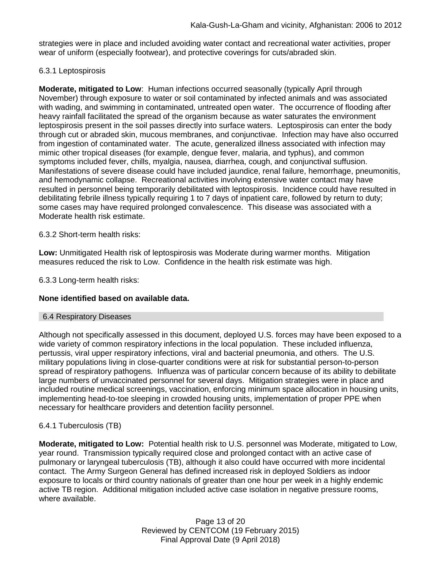strategies were in place and included avoiding water contact and recreational water activities, proper wear of uniform (especially footwear), and protective coverings for cuts/abraded skin.

## 6.3.1 Leptospirosis

**Moderate, mitigated to Low**: Human infections occurred seasonally (typically April through November) through exposure to water or soil contaminated by infected animals and was associated with wading, and swimming in contaminated, untreated open water. The occurrence of flooding after heavy rainfall facilitated the spread of the organism because as water saturates the environment leptospirosis present in the soil passes directly into surface waters. Leptospirosis can enter the body through cut or abraded skin, mucous membranes, and conjunctivae. Infection may have also occurred from ingestion of contaminated water. The acute, generalized illness associated with infection may mimic other tropical diseases (for example, dengue fever, malaria, and typhus), and common symptoms included fever, chills, myalgia, nausea, diarrhea, cough, and conjunctival suffusion. Manifestations of severe disease could have included jaundice, renal failure, hemorrhage, pneumonitis, and hemodynamic collapse. Recreational activities involving extensive water contact may have resulted in personnel being temporarily debilitated with leptospirosis. Incidence could have resulted in debilitating febrile illness typically requiring 1 to 7 days of inpatient care, followed by return to duty; some cases may have required prolonged convalescence. This disease was associated with a Moderate health risk estimate.

#### 6.3.2 Short-term health risks:

**Low:** Unmitigated Health risk of leptospirosis was Moderate during warmer months. Mitigation measures reduced the risk to Low. Confidence in the health risk estimate was high.

6.3.3 Long-term health risks:

# **None identified based on available data.**

#### 6.4 Respiratory Diseases

Although not specifically assessed in this document, deployed U.S. forces may have been exposed to a wide variety of common respiratory infections in the local population. These included influenza, pertussis, viral upper respiratory infections, viral and bacterial pneumonia, and others. The U.S. military populations living in close-quarter conditions were at risk for substantial person-to-person spread of respiratory pathogens. Influenza was of particular concern because of its ability to debilitate large numbers of unvaccinated personnel for several days. Mitigation strategies were in place and included routine medical screenings, vaccination, enforcing minimum space allocation in housing units, implementing head-to-toe sleeping in crowded housing units, implementation of proper PPE when necessary for healthcare providers and detention facility personnel.

# 6.4.1 Tuberculosis (TB)

**Moderate, mitigated to Low:** Potential health risk to U.S. personnel was Moderate, mitigated to Low, year round. Transmission typically required close and prolonged contact with an active case of pulmonary or laryngeal tuberculosis (TB), although it also could have occurred with more incidental contact. The Army Surgeon General has defined increased risk in deployed Soldiers as indoor exposure to locals or third country nationals of greater than one hour per week in a highly endemic active TB region. Additional mitigation included active case isolation in negative pressure rooms, where available.

> Page 13 of 20 Reviewed by CENTCOM (19 February 2015) Final Approval Date (9 April 2018)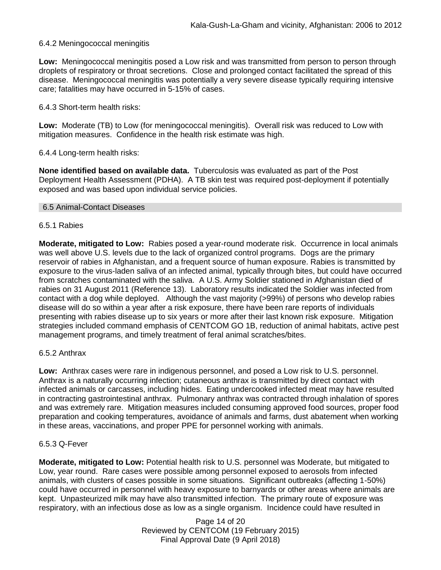#### 6.4.2 Meningococcal meningitis

**Low:** Meningococcal meningitis posed a Low risk and was transmitted from person to person through droplets of respiratory or throat secretions. Close and prolonged contact facilitated the spread of this disease. Meningococcal meningitis was potentially a very severe disease typically requiring intensive care; fatalities may have occurred in 5-15% of cases.

6.4.3 Short-term health risks:

**Low:** Moderate (TB) to Low (for meningococcal meningitis). Overall risk was reduced to Low with mitigation measures. Confidence in the health risk estimate was high.

#### 6.4.4 Long-term health risks:

**None identified based on available data.** Tuberculosis was evaluated as part of the Post Deployment Health Assessment (PDHA). A TB skin test was required post-deployment if potentially exposed and was based upon individual service policies.

#### 6.5 Animal-Contact Diseases

#### 6.5.1 Rabies

**Moderate, mitigated to Low:** Rabies posed a year-round moderate risk. Occurrence in local animals was well above U.S. levels due to the lack of organized control programs. Dogs are the primary reservoir of rabies in Afghanistan, and a frequent source of human exposure. Rabies is transmitted by exposure to the virus-laden saliva of an infected animal, typically through bites, but could have occurred from scratches contaminated with the saliva. A U.S. Army Soldier stationed in Afghanistan died of rabies on 31 August 2011 (Reference 13). Laboratory results indicated the Soldier was infected from contact with a dog while deployed. Although the vast majority (>99%) of persons who develop rabies disease will do so within a year after a risk exposure, there have been rare reports of individuals presenting with rabies disease up to six years or more after their last known risk exposure. Mitigation strategies included command emphasis of CENTCOM GO 1B, reduction of animal habitats, active pest management programs, and timely treatment of feral animal scratches/bites.

#### 6.5.2 Anthrax

**Low:** Anthrax cases were rare in indigenous personnel, and posed a Low risk to U.S. personnel. Anthrax is a naturally occurring infection; cutaneous anthrax is transmitted by direct contact with infected animals or carcasses, including hides. Eating undercooked infected meat may have resulted in contracting gastrointestinal anthrax. Pulmonary anthrax was contracted through inhalation of spores and was extremely rare. Mitigation measures included consuming approved food sources, proper food preparation and cooking temperatures, avoidance of animals and farms, dust abatement when working in these areas, vaccinations, and proper PPE for personnel working with animals.

#### 6.5.3 Q-Fever

**Moderate, mitigated to Low:** Potential health risk to U.S. personnel was Moderate, but mitigated to Low, year round. Rare cases were possible among personnel exposed to aerosols from infected animals, with clusters of cases possible in some situations. Significant outbreaks (affecting 1-50%) could have occurred in personnel with heavy exposure to barnyards or other areas where animals are kept. Unpasteurized milk may have also transmitted infection. The primary route of exposure was respiratory, with an infectious dose as low as a single organism. Incidence could have resulted in

> Page 14 of 20 Reviewed by CENTCOM (19 February 2015) Final Approval Date (9 April 2018)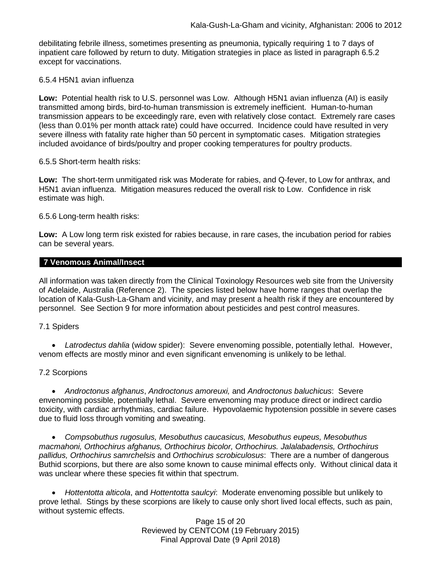debilitating febrile illness, sometimes presenting as pneumonia, typically requiring 1 to 7 days of inpatient care followed by return to duty. Mitigation strategies in place as listed in paragraph 6.5.2 except for vaccinations.

#### 6.5.4 H5N1 avian influenza

**Low:** Potential health risk to U.S. personnel was Low. Although H5N1 avian influenza (AI) is easily transmitted among birds, bird-to-human transmission is extremely inefficient. Human-to-human transmission appears to be exceedingly rare, even with relatively close contact. Extremely rare cases (less than 0.01% per month attack rate) could have occurred. Incidence could have resulted in very severe illness with fatality rate higher than 50 percent in symptomatic cases. Mitigation strategies included avoidance of birds/poultry and proper cooking temperatures for poultry products.

#### 6.5.5 Short-term health risks:

**Low:** The short-term unmitigated risk was Moderate for rabies, and Q-fever, to Low for anthrax, and H5N1 avian influenza. Mitigation measures reduced the overall risk to Low.Confidence in risk estimate was high.

#### 6.5.6 Long-term health risks:

**Low:** A Low long term risk existed for rabies because, in rare cases, the incubation period for rabies can be several years.

#### **7 Venomous Animal/Insect**

All information was taken directly from the Clinical Toxinology Resources web site from the University of Adelaide, Australia (Reference 2). The species listed below have home ranges that overlap the location of Kala-Gush-La-Gham and vicinity, and may present a health risk if they are encountered by personnel. See Section 9 for more information about pesticides and pest control measures.

#### 7.1 Spiders

 *Latrodectus dahlia* (widow spider): Severe envenoming possible, potentially lethal. However, venom effects are mostly minor and even significant envenoming is unlikely to be lethal.

#### 7.2 Scorpions

 *Androctonus afghanus*, *Androctonus amoreuxi,* and *Androctonus baluchicus*: Severe envenoming possible, potentially lethal. Severe envenoming may produce direct or indirect cardio toxicity, with cardiac arrhythmias, cardiac failure. Hypovolaemic hypotension possible in severe cases due to fluid loss through vomiting and sweating.

 *Compsobuthus rugosulus, Mesobuthus caucasicus, Mesobuthus eupeus, Mesobuthus macmahoni, Orthochirus afghanus, Orthochirus bicolor, Orthochirus. Jalalabadensis, Orthochirus pallidus, Orthochirus samrchelsis* and *Orthochirus scrobiculosus*: There are a number of dangerous Buthid scorpions, but there are also some known to cause minimal effects only. Without clinical data it was unclear where these species fit within that spectrum.

 *Hottentotta alticola*, and *Hottentotta saulcyi*: Moderate envenoming possible but unlikely to prove lethal. Stings by these scorpions are likely to cause only short lived local effects, such as pain, without systemic effects.

> Page 15 of 20 Reviewed by CENTCOM (19 February 2015) Final Approval Date (9 April 2018)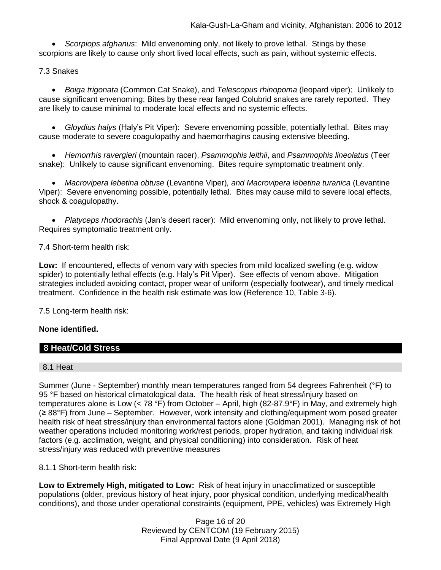*Scorpiops afghanus*: Mild envenoming only, not likely to prove lethal. Stings by these scorpions are likely to cause only short lived local effects, such as pain, without systemic effects.

# 7.3 Snakes

 *[Boiga](http://www.toxinology.com/fusebox.cfm?fuseaction=main.snakes.display&id=SN0722) [trigonata](http://www.toxinology.com/fusebox.cfm?fuseaction=main.snakes.display&id=SN0722)* (Common Cat Snake), and *Telescopus rhinopoma* (leopard viper): Unlikely to cause significant envenoming; Bites by these rear fanged Colubrid snakes are rarely reported. They are likely to cause minimal to moderate local effects and no systemic effects.

 *Gloydius halys* (Haly's Pit Viper): Severe envenoming possible, potentially lethal. Bites may cause moderate to severe coagulopathy and haemorrhagins causing extensive bleeding.

 *Hemorrhis ravergieri* (mountain racer), *Psammophis leithii*, and *Psammophis lineolatus* (Teer snake): Unlikely to cause significant envenoming. Bites require symptomatic treatment only.

 *Macrovipera lebetina obtuse* (Levantine Viper)*, and Macrovipera lebetina turanica* (Levantine Viper): Severe envenoming possible, potentially lethal. Bites may cause mild to severe local effects, shock & coagulopathy.

 *Platyceps rhodorachis* (Jan's desert racer): Mild envenoming only, not likely to prove lethal. Requires symptomatic treatment only.

7.4 Short-term health risk:

**Low:** If encountered, effects of venom vary with species from mild localized swelling (e.g. widow spider) to potentially lethal effects (e.g. Haly's Pit Viper). See effects of venom above. Mitigation strategies included avoiding contact, proper wear of uniform (especially footwear), and timely medical treatment. Confidence in the health risk estimate was low (Reference 10, Table 3-6).

7.5 Long-term health risk:

# **None identified.**

# **8 Heat/Cold Stress**

#### 8.1 Heat

Summer (June - September) monthly mean temperatures ranged from 54 degrees Fahrenheit (°F) to 95 °F based on historical climatological data. The health risk of heat stress/injury based on temperatures alone is Low (< 78 °F) from October – April, high (82-87.9°F) in May, and extremely high (≥ 88°F) from June – September. However, work intensity and clothing/equipment worn posed greater health risk of heat stress/injury than environmental factors alone (Goldman 2001). Managing risk of hot weather operations included monitoring work/rest periods, proper hydration, and taking individual risk factors (e.g. acclimation, weight, and physical conditioning) into consideration. Risk of heat stress/injury was reduced with preventive measures

8.1.1 Short-term health risk:

**Low to Extremely High, mitigated to Low:** Risk of heat injury in unacclimatized or susceptible populations (older, previous history of heat injury, poor physical condition, underlying medical/health conditions), and those under operational constraints (equipment, PPE, vehicles) was Extremely High

> Page 16 of 20 Reviewed by CENTCOM (19 February 2015) Final Approval Date (9 April 2018)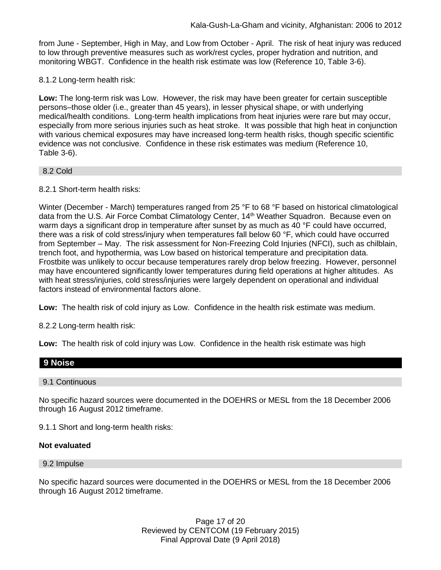from June - September, High in May, and Low from October - April. The risk of heat injury was reduced to low through preventive measures such as work/rest cycles, proper hydration and nutrition, and monitoring WBGT. Confidence in the health risk estimate was low (Reference 10, Table 3-6).

8.1.2 Long-term health risk:

**Low:** The long-term risk was Low. However, the risk may have been greater for certain susceptible persons–those older (i.e., greater than 45 years), in lesser physical shape, or with underlying medical/health conditions. Long-term health implications from heat injuries were rare but may occur, especially from more serious injuries such as heat stroke. It was possible that high heat in conjunction with various chemical exposures may have increased long-term health risks, though specific scientific evidence was not conclusive. Confidence in these risk estimates was medium (Reference 10, Table 3-6).

#### 8.2 Cold

8.2.1 Short-term health risks:

Winter (December - March) temperatures ranged from 25 °F to 68 °F based on historical climatological data from the U.S. Air Force Combat Climatology Center, 14<sup>th</sup> Weather Squadron. Because even on warm days a significant drop in temperature after sunset by as much as 40 °F could have occurred, there was a risk of cold stress/injury when temperatures fall below 60 °F, which could have occurred from September – May. The risk assessment for Non-Freezing Cold Injuries (NFCI), such as chilblain, trench foot, and hypothermia, was Low based on historical temperature and precipitation data. Frostbite was unlikely to occur because temperatures rarely drop below freezing. However, personnel may have encountered significantly lower temperatures during field operations at higher altitudes. As with heat stress/injuries, cold stress/injuries were largely dependent on operational and individual factors instead of environmental factors alone.

**Low:** The health risk of cold injury as Low. Confidence in the health risk estimate was medium.

8.2.2 Long-term health risk:

**Low:** The health risk of cold injury was Low. Confidence in the health risk estimate was high

# **9 Noise**

#### 9.1 Continuous

No specific hazard sources were documented in the DOEHRS or MESL from the 18 December 2006 through 16 August 2012 timeframe.

9.1.1 Short and long-term health risks:

#### **Not evaluated**

#### 9.2 Impulse

No specific hazard sources were documented in the DOEHRS or MESL from the 18 December 2006 through 16 August 2012 timeframe.

> Page 17 of 20 Reviewed by CENTCOM (19 February 2015) Final Approval Date (9 April 2018)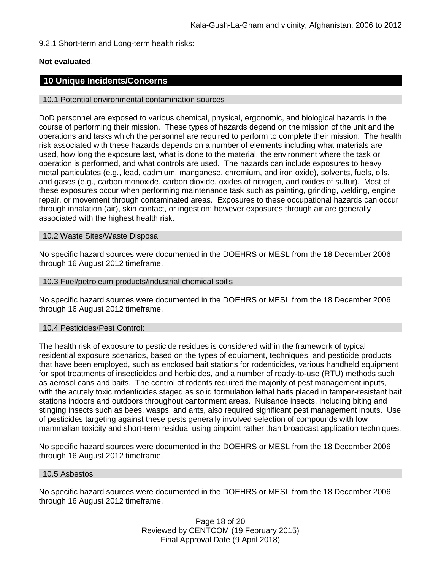9.2.1 Short-term and Long-term health risks:

# **Not evaluated**.

# **10 Unique Incidents/Concerns**

10.1 Potential environmental contamination sources

DoD personnel are exposed to various chemical, physical, ergonomic, and biological hazards in the course of performing their mission. These types of hazards depend on the mission of the unit and the operations and tasks which the personnel are required to perform to complete their mission. The health risk associated with these hazards depends on a number of elements including what materials are used, how long the exposure last, what is done to the material, the environment where the task or operation is performed, and what controls are used. The hazards can include exposures to heavy metal particulates (e.g., lead, cadmium, manganese, chromium, and iron oxide), solvents, fuels, oils, and gases (e.g., carbon monoxide, carbon dioxide, oxides of nitrogen, and oxides of sulfur). Most of these exposures occur when performing maintenance task such as painting, grinding, welding, engine repair, or movement through contaminated areas. Exposures to these occupational hazards can occur through inhalation (air), skin contact, or ingestion; however exposures through air are generally associated with the highest health risk.

#### 10.2 Waste Sites/Waste Disposal

No specific hazard sources were documented in the DOEHRS or MESL from the 18 December 2006 through 16 August 2012 timeframe.

#### 10.3 Fuel/petroleum products/industrial chemical spills

No specific hazard sources were documented in the DOEHRS or MESL from the 18 December 2006 through 16 August 2012 timeframe.

#### 10.4 Pesticides/Pest Control:

The health risk of exposure to pesticide residues is considered within the framework of typical residential exposure scenarios, based on the types of equipment, techniques, and pesticide products that have been employed, such as enclosed bait stations for rodenticides, various handheld equipment for spot treatments of insecticides and herbicides, and a number of ready-to-use (RTU) methods such as aerosol cans and baits. The control of rodents required the majority of pest management inputs, with the acutely toxic rodenticides staged as solid formulation lethal baits placed in tamper-resistant bait stations indoors and outdoors throughout cantonment areas. Nuisance insects, including biting and stinging insects such as bees, wasps, and ants, also required significant pest management inputs. Use of pesticides targeting against these pests generally involved selection of compounds with low mammalian toxicity and short-term residual using pinpoint rather than broadcast application techniques.

No specific hazard sources were documented in the DOEHRS or MESL from the 18 December 2006 through 16 August 2012 timeframe.

#### 10.5 Asbestos

No specific hazard sources were documented in the DOEHRS or MESL from the 18 December 2006 through 16 August 2012 timeframe.

> Page 18 of 20 Reviewed by CENTCOM (19 February 2015) Final Approval Date (9 April 2018)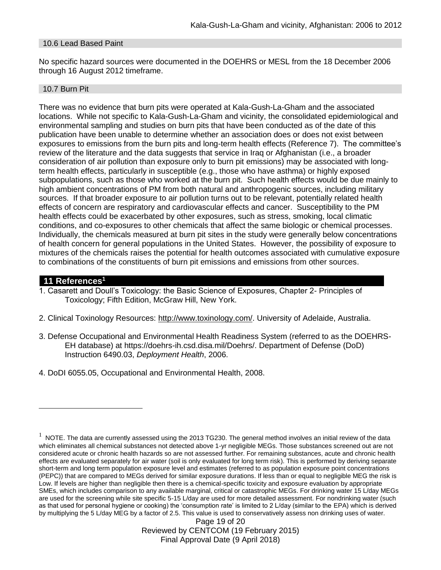#### 10.6 Lead Based Paint

No specific hazard sources were documented in the DOEHRS or MESL from the 18 December 2006 through 16 August 2012 timeframe.

#### 10.7 Burn Pit

There was no evidence that burn pits were operated at Kala-Gush-La-Gham and the associated locations. While not specific to Kala-Gush-La-Gham and vicinity, the consolidated epidemiological and environmental sampling and studies on burn pits that have been conducted as of the date of this publication have been unable to determine whether an association does or does not exist between exposures to emissions from the burn pits and long-term health effects (Reference 7). The committee's review of the literature and the data suggests that service in Iraq or Afghanistan (i.e., a broader consideration of air pollution than exposure only to burn pit emissions) may be associated with longterm health effects, particularly in susceptible (e.g., those who have asthma) or highly exposed subpopulations, such as those who worked at the burn pit. Such health effects would be due mainly to high ambient concentrations of PM from both natural and anthropogenic sources, including military sources. If that broader exposure to air pollution turns out to be relevant, potentially related health effects of concern are respiratory and cardiovascular effects and cancer. Susceptibility to the PM health effects could be exacerbated by other exposures, such as stress, smoking, local climatic conditions, and co-exposures to other chemicals that affect the same biologic or chemical processes. Individually, the chemicals measured at burn pit sites in the study were generally below concentrations of health concern for general populations in the United States. However, the possibility of exposure to mixtures of the chemicals raises the potential for health outcomes associated with cumulative exposure to combinations of the constituents of burn pit emissions and emissions from other sources.

# **11 References<sup>1</sup>**

 $\overline{a}$ 

- 1. Casarett and Doull's Toxicology: the Basic Science of Exposures, Chapter 2- Principles of Toxicology; Fifth Edition, McGraw Hill, New York.
- 2. Clinical Toxinology Resources: [http://www.toxinology.com/.](http://www.toxinology.com/) University of Adelaide, Australia.
- 3. Defense Occupational and Environmental Health Readiness System (referred to as the DOEHRS-EH database) at https://doehrs-ih.csd.disa.mil/Doehrs/. Department of Defense (DoD) Instruction 6490.03, *Deployment Health*, 2006.
- 4. DoDI 6055.05, Occupational and Environmental Health, 2008.

Page 19 of 20 Reviewed by CENTCOM (19 February 2015) Final Approval Date (9 April 2018)

 $1$  NOTE. The data are currently assessed using the 2013 TG230. The general method involves an initial review of the data which eliminates all chemical substances not detected above 1-yr negligible MEGs. Those substances screened out are not considered acute or chronic health hazards so are not assessed further. For remaining substances, acute and chronic health effects are evaluated separately for air water (soil is only evaluated for long term risk). This is performed by deriving separate short-term and long term population exposure level and estimates (referred to as population exposure point concentrations (PEPC)) that are compared to MEGs derived for similar exposure durations. If less than or equal to negligible MEG the risk is Low. If levels are higher than negligible then there is a chemical-specific toxicity and exposure evaluation by appropriate SMEs, which includes comparison to any available marginal, critical or catastrophic MEGs. For drinking water 15 L/day MEGs are used for the screening while site specific 5-15 L/day are used for more detailed assessment. For nondrinking water (such as that used for personal hygiene or cooking) the 'consumption rate' is limited to 2 L/day (similar to the EPA) which is derived by multiplying the 5 L/day MEG by a factor of 2.5. This value is used to conservatively assess non drinking uses of water.